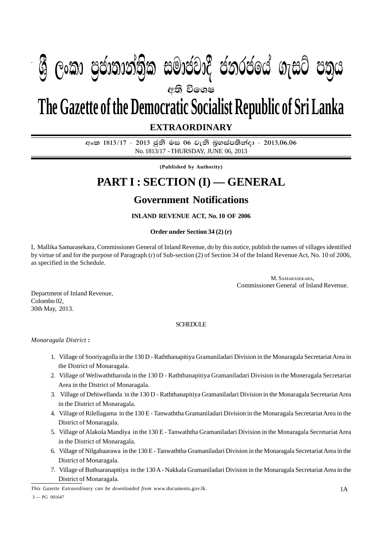# I **fldgi ( ^**I**& fPoh - Y S % ,xld m %cd;dk a; s %l iudcjd§ ckrcfh a w; s úfYI .eiÜ m; %h - 2013'06'06** PART I : SEC. (I) - GAZETTE EXTRAORDINARY OF SANTA SOCIALIST REPUBLIC OF SANTA SOCIALIST REPUBLIC OF SANTA SOC අති වි**ං**ශෂ **W Geibrea, mocdic charge in cold m**

# **The Gazette of the Democratic Socialist Republic of Sri Lanka**

### **EXTRAORDINARY**

අංක 1813/17 - 2013 ජුනි මස 06 වැනි බුහස්පතින්දා - 2013.06.06 No. 1813/17 - THURSDAY, JUNE 06, 2013

**(Published by Authority)**

## **PART I : SECTION (I) — GENERAL**

## **Government Notifications**

#### **INLAND REVENUE ACT, No. 10 OF 2006**

**Order under Section 34 (2) (r)**

I, Mallika Samarasekara, Commissioner General of Inland Revenue, do by this notice, publish the names of villages identified by virtue of and for the purpose of Paragraph (r) of Sub-section (2) of Section 34 of the Inland Revenue Act, No. 10 of 2006, as specified in the Schedule.

> M. SAMARASEKARA, Commissioner General of Inland Revenue.

Department of Inland Revenue, Colombo 02, 30th May, 2013.

#### **SCHEDULE**

#### *Monaragala District* **:**

- 1. Village of Sooriyagolla in the 130 D Raththanapitiya Gramaniladari Division in the Monaragala Secretariat Area in the District of Monaragala.
- 2. Village of Weliwaththaroda in the 130 D Raththanapitiya Gramaniladari Division in the Moneragala Secretariat Area in the District of Monaragala.
- 3. Village of Dehiwellanda in the 130 D Raththanapitiya Gramaniladari Division in the Monaragala Secretariat Area in the District of Monaragala.
- 4. Village of Rilellagama in the 130 E Tanwaththa Gramaniladari Division in the Monaragala Secretariat Area in the District of Monaragala.
- 5. Village of Alakola Mandiya in the 130 E Tanwaththa Gramaniladari Division in the Monaragala Secretariat Area in the District of Monaragala.
- 6. Village of Nilgahaarawa in the 130 E Tanwaththa Gramaniladari Division in the Monaragala Secretariat Area in the District of Monaragala.
- 7. Village of Buthsaranapitiya in the 130 A Nakkala Gramaniladari Division in the Monaragala Secretariat Area in the District of Monaragala.

*This Gazette Extraordinary can be downloaded from www.documents.gov.lk.* 1A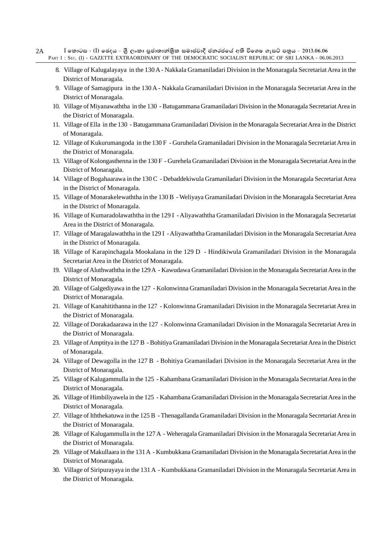#### $I$  කොටස : (I) ඡෙදය - ශීූ ලංකා පුජාතාන්තික සමාජවාදී ජනරජයේ අති විශෙෂ ගැසට් පතුය - 2013.06.06 PART I : SEC. (I) - GAZETTE EXTRAORDINARY OF THE DEMOCRATIC SOCIALIST REPUBLIC OF SRI LANKA - 06.06.2013 2A

- 8. Village of Kalugalayaya in the 130 A Nakkala Gramaniladari Division in the Monaragala Secretariat Area in the District of Monaragala.
- 9. Village of Samagipura in the 130 A Nakkala Gramaniladari Division in the Monaragala Secretariat Area in the District of Monaragala.
- 10. Village of Miyanawaththa in the 130 Batugammana Gramaniladari Division in the Monaragala Secretariat Area in the District of Monaragala.
- 11. Village of Ella in the 130 Batugammana Gramaniladari Division in the Monaragala Secretariat Area in the District of Monaragala.
- 12. Village of Kukurumangoda in the 130 F Guruhela Gramaniladari Division in the Monaragala Secretariat Area in the District of Monaragala.
- 13. Village of Kolongasthenna in the 130 F Gurehela Gramaniladari Division in the Monaragala Secretariat Area in the District of Monaragala.
- 14. Village of Bogahaarawa in the 130 C Debaddekiwula Gramaniladari Division in the Monaragala Secretariat Area in the District of Monaragala.
- 15. Village of Monarakelewaththa in the 130 B Weliyaya Gramaniladari Division in the Monaragala Secretariat Area in the District of Monaragala.
- 16. Village of Kumaradolawaththa in the 129 I Aliyawaththa Gramaniladari Division in the Monaragala Secretariat Area in the District of Monaragala.
- 17. Village of Maragalawaththa in the 129 I Aliyawaththa Gramaniladari Division in the Monaragala Secretariat Area in the District of Monaragala.
- 18. Village of Karapinchagala Mookalana in the 129 D Hindikiwula Gramaniladari Division in the Monaragala Secretariat Area in the District of Monaragala.
- 19. Village of Aluthwaththa in the 129 A Kawudawa Gramaniladari Division in the Monaragala Secretariat Area in the District of Monaragala.
- 20. Village of Galgediyawa in the 127 Kolonwinna Gramaniladari Division in the Monaragala Secretariat Area in the District of Monaragala.
- 21. Village of Kanahitithanna in the 127 Kolonwinna Gramaniladari Division in the Monaragala Secretariat Area in the District of Monaragala.
- 22. Village of Dorakadaarawa in the 127 Kolonwinna Gramaniladari Division in the Monaragala Secretariat Area in the District of Monaragala.
- 23. Village of Amptitya in the 127 B Bohitiya Gramaniladari Division in the Monaragala Secretariat Area in the District of Monaragala.
- 24. Village of Dewagolla in the 127 B Bohitiya Gramaniladari Division in the Monaragala Secretariat Area in the District of Monaragala.
- 25. Village of Kalugammulla in the 125 Kahambana Gramaniladari Division in the Monaragala Secretariat Area in the District of Monaragala.
- 26. Village of Himbiliyawela in the 125 Kahambana Gramaniladari Division in the Monaragala Secretariat Area in the District of Monaragala.
- 27. Village of Iththekatuwa in the 125 B Thenagallanda Gramaniladari Division in the Monaragala Secretariat Area in the District of Monaragala.
- 28. Village of Kalugammulla in the 127 A Weheragala Gramaniladari Division in the Monaragala Secretariat Area in the District of Monaragala.
- 29. Village of Makullaara in the 131 A Kumbukkana Gramaniladari Division in the Monaragala Secretariat Area in the District of Monaragala.
- 30. Village of Siripurayaya in the 131 A Kumbukkana Gramaniladari Division in the Monaragala Secretariat Area in the District of Monaragala.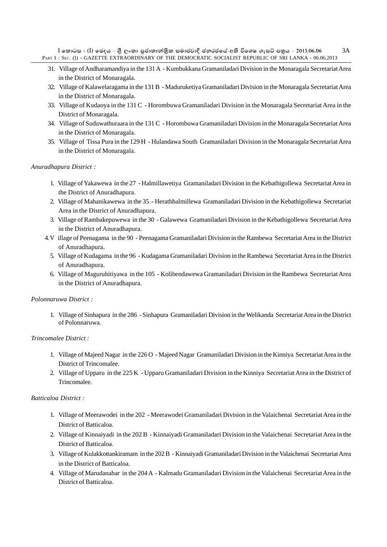$I$  කොටස : (I) ඡෙදය - ශීූ ලංකා පුජාතාන්තික සමාජවාදී ජනරජයේ අති විශෙෂ ගැසට් පතුය - 2013.06.06 PART I : SEC. (I) - GAZETTE EXTRAORDINARY OF THE DEMOCRATIC SOCIALIST REPUBLIC OF SRI LANKA - 06.06.2013 3A

- 31. Village of Andharamandiya in the 131 A Kumbukkana Gramaniladari Division in the Monaragala Secretariat Area in the District of Monaragala.
- 32. Village of Kalawelaragama in the 131 B Maduruketiya Gramaniladari Division in the Monaragala Secretariat Area in the District of Monaragala.
- 33. Village of Kudaoya in the 131 C Horombuwa Gramaniladari Division in the Monaragala Secretariat Area in the District of Monaragala.
- 34. Village of Suduwathuraara in the 131 C Horombuwa Gramaniladari Division in the Monaragala Secretariat Area in the District of Monaragala.
- 35. Village of Tissa Pura in the 129 H Hulandawa South Gramaniladari Division in the Monaragala Secretariat Area in the District of Monaragala.

#### *Anuradhapura District :*

- 1. Village of Yakawewa in the 27 Halmillawetiya Gramaniladari Division in the Kebathigollewa Secretariat Area in the District of Anuradhapura.
- 2. Village of Mahanikawewa in the 35 Herathhalmillewa Gramaniladari Division in the Kebathigollewa Secretariat Area in the District of Anuradhapura.
- 3. Village of Rambakepuwewa in the 30 Galawewa Gramaniladari Division in the Kebathigollewa Secretariat Area in the District of Anuradhapura.
- 4. V illage of Peenagama in the 90 Peenagama Gramaniladari Division in the Rambewa Secretariat Area in the District of Anuradhapura.
	- 5. Village of Kudagama in the 96 Kudagama Gramaniladari Division in the Rambewa Secretariat Area in the District of Anuradhapura.
	- 6. Village of Maguruhitiyawa in the 105 Kolibendawewa Gramaniladari Division in the Rambewa Secretariat Area in the District of Anuradhapura.

#### *Polonnaruwa District :*

1. Village of Sinhapura in the 286 - Sinhapura Gramaniladari Division in the Welikanda Secretariat Area in the District of Polonnaruwa.

#### *Trincomalee District :*

- 1. Village of Majeed Nagar in the 226 O Majeed Nagar Gramaniladari Division in the Kinniya Secretariat Area in the District of Trincomalee.
- 2. Village of Upparu in the 225 K Upparu Gramaniladari Division in the Kinniya Secretariat Area in the District of Trincomalee.

#### *Batticaloa District :*

- 1. Village of Meerawodei in the 202 Meerawodei Gramaniladari Division in the Valaichenai Secretariat Area in the District of Batticaloa.
- 2. Village of Kinnaiyadi in the 202 B Kinnaiyadi Gramaniladari Division in the Valaichenai Secretariat Area in the District of Batticaloa.
- 3. Village of Kulakkottankiramam in the 202 B Kinnaiyadi Gramaniladari Division in the Valaichenai Secretariat Area in the District of Batticaloa.
- 4. Village of Marudanahar in the 204 A Kalmadu Gramaniladari Division in the Valaichenai Secretariat Area in the District of Batticaloa.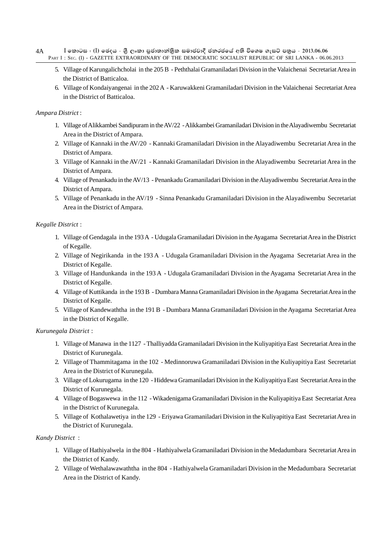- $I$  කොටස : (I) ඡෙදය ශීූ ලංකා පුජාතාන්තික සමාජවාදී ජනරජයේ අති විශෙෂ ගැසට් පතුය 2013.06.06 PART I : SEC. (I) - GAZETTE EXTRAORDINARY OF THE DEMOCRATIC SOCIALIST REPUBLIC OF SRI LANKA - 06.06.2013 4A
	- 5. Village of Karungalichcholai in the 205 B Peththalai Gramaniladari Division in the Valaichenai Secretariat Area in the District of Batticaloa.
	- 6. Village of Kondaiyangenai in the 202 A Karuwakkeni Gramaniladari Division in the Valaichenai Secretariat Area in the District of Batticaloa.

#### *Ampara District* :

- 1. Village of Alikkambei Sandipuram in the AV/22 Alikkambei Gramaniladari Division in the Alayadiwembu Secretariat Area in the District of Ampara.
- 2. Village of Kannaki in the AV/20 Kannaki Gramaniladari Division in the Alayadiwembu Secretariat Area in the District of Ampara.
- 3. Village of Kannaki in the AV/21 Kannaki Gramaniladari Division in the Alayadiwembu Secretariat Area in the District of Ampara.
- 4. Village of Penankadu in the AV/13 Penankadu Gramaniladari Division in the Alayadiwembu Secretariat Area in the District of Ampara.
- 5. Village of Penankadu in the AV/19 Sinna Penankadu Gramaniladari Division in the Alayadiwembu Secretariat Area in the District of Ampara.

#### *Kegalle District* :

- 1. Village of Gendagala in the 193 A Udugala Gramaniladari Division in the Ayagama Secretariat Area in the District of Kegalle.
- 2. Village of Negirikanda in the 193 A Udugala Gramaniladari Division in the Ayagama Secretariat Area in the District of Kegalle.
- 3. Village of Handunkanda in the 193 A Udugala Gramaniladari Division in the Ayagama Secretariat Area in the District of Kegalle.
- 4. Village of Kuttikanda in the 193 B Dumbara Manna Gramaniladari Division in the Ayagama Secretariat Area in the District of Kegalle.
- 5. Village of Kandewaththa in the 191 B Dumbara Manna Gramaniladari Division in the Ayagama Secretariat Area in the District of Kegalle.

#### *Kurunegala District* :

- 1. Village of Manawa in the 1127 Thalliyadda Gramaniladari Division in the Kuliyapitiya East Secretariat Area in the District of Kurunegala.
- 2. Village of Thammitagama in the 102 Medinnoruwa Gramaniladari Division in the Kuliyapitiya East Secretariat Area in the District of Kurunegala.
- 3. Village of Lokurugama in the 120 Hiddewa Gramaniladari Division in the Kuliyapitiya East Secretariat Area in the District of Kurunegala.
- 4. Village of Bogaswewa in the 112 Wikadenigama Gramaniladari Division in the Kuliyapitiya East Secretariat Area in the District of Kurunegala.
- 5. Village of Kothalawetiya in the 129 Eriyawa Gramaniladari Division in the Kuliyapitiya East Secretariat Area in the District of Kurunegala.

#### *Kandy District* :

- 1. Village of Hathiyalwela in the 804 Hathiyalwela Gramaniladari Division in the Medadumbara Secretariat Area in the District of Kandy.
- 2. Village of Wethalawawaththa in the 804 Hathiyalwela Gramaniladari Division in the Medadumbara Secretariat Area in the District of Kandy.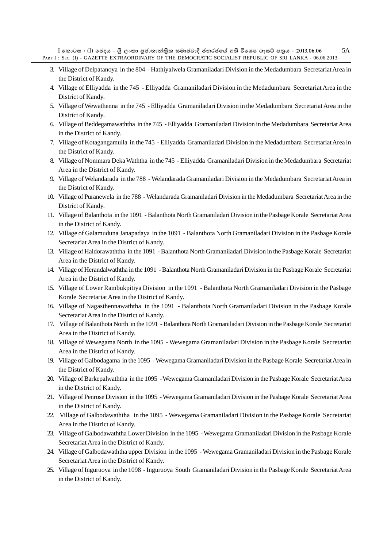- 3. Village of Delpatanoya in the 804 Hathiyalwela Gramaniladari Division in the Medadumbara Secretariat Area in the District of Kandy.
- 4. Village of Elliyadda in the 745 Elliyadda Gramaniladari Division in the Medadumbara Secretariat Area in the District of Kandy.
- 5. Village of Wewathenna in the 745 Elliyadda Gramaniladari Division in the Medadumbara Secretariat Area in the District of Kandy.
- 6. Village of Beddegamawaththa in the 745 Elliyadda Gramaniladari Division in the Medadumbara Secretariat Area in the District of Kandy.
- 7. Village of Kotagangamulla in the 745 Elliyadda Gramaniladari Division in the Medadumbara Secretariat Area in the District of Kandy.
- 8. Village of Nommara Deka Waththa in the 745 Elliyadda Gramaniladari Division in the Medadumbara Secretariat Area in the District of Kandy.
- 9. Village of Welandarada in the 788 Welandarada Gramaniladari Division in the Medadumbara Secretariat Area in the District of Kandy.
- 10. Village of Puranewela in the 788 Welandarada Gramaniladari Division in the Medadumbara Secretariat Area in the District of Kandy.
- 11. Village of Balanthota in the 1091 Balanthota North Gramaniladari Division in the Pasbage Korale Secretariat Area in the District of Kandy.
- 12. Village of Galamuduna Janapadaya in the 1091 Balanthota North Gramaniladari Division in the Pasbage Korale Secretariat Area in the District of Kandy.
- 13. Village of Haldorawaththa in the 1091 Balanthota North Gramaniladari Division in the Pasbage Korale Secretariat Area in the District of Kandy.
- 14. Village of Herandalwaththa in the 1091 Balanthota North Gramaniladari Division in the Pasbage Korale Secretariat Area in the District of Kandy.
- 15. Village of Lower Rambukpitiya Division in the 1091 Balanthota North Gramaniladari Division in the Pasbage Korale Secretariat Area in the District of Kandy.
- 16. Village of Nagasthennawaththa in the 1091 Balanthota North Gramaniladari Division in the Pasbage Korale Secretariat Area in the District of Kandy.
- 17. Village of Balanthota North in the 1091 Balanthota North Gramaniladari Division in the Pasbage Korale Secretariat Area in the District of Kandy.
- 18. Village of Wewegama North in the 1095 Wewegama Gramaniladari Division in the Pasbage Korale Secretariat Area in the District of Kandy.
- 19. Village of Galbodagama in the 1095 Wewegama Gramaniladari Division in the Pasbage Korale Secretariat Area in the District of Kandy.
- 20. Village of Barkepalwaththa in the 1095 Wewegama Gramaniladari Division in the Pasbage Korale Secretariat Area in the District of Kandy.
- 21. Village of Penrose Division in the 1095 Wewegama Gramaniladari Division in the Pasbage Korale Secretariat Area in the District of Kandy.
- 22. Village of Galbodawaththa in the 1095 Wewegama Gramaniladari Division in the Pasbage Korale Secretariat Area in the District of Kandy.
- 23. Village of Galbodawaththa Lower Division in the 1095 Wewegama Gramaniladari Division in the Pasbage Korale Secretariat Area in the District of Kandy.
- 24. Village of Galbodawaththa upper Division in the 1095 Wewegama Gramaniladari Division in the Pasbage Korale Secretariat Area in the District of Kandy.
- 25. Village of Inguruoya in the 1098 Inguruoya South Gramaniladari Division in the Pasbage Korale Secretariat Area in the District of Kandy.